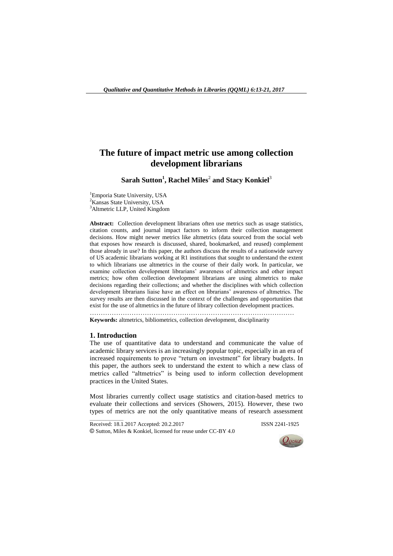# **The future of impact metric use among collection development librarians**

 $\textbf{Sarah}\ \textbf{Sutton}^1$ , Rachel Miles<sup>2</sup> and Stacy Konkiel<sup>3</sup>

<sup>1</sup>Emporia State University, USA <sup>2</sup>Kansas State University, USA <sup>3</sup>Altmetric LLP, United Kingdom

**Abstract:** Collection development librarians often use metrics such as usage statistics, citation counts, and journal impact factors to inform their collection management decisions. How might newer metrics like altmetrics (data sourced from the social web that exposes how research is discussed, shared, bookmarked, and reused) complement those already in use? In this paper, the authors discuss the results of a nationwide survey of US academic librarians working at R1 institutions that sought to understand the extent to which librarians use altmetrics in the course of their daily work. In particular, we examine collection development librarians' awareness of altmetrics and other impact metrics; how often collection development librarians are using altmetrics to make decisions regarding their collections; and whether the disciplines with which collection development librarians liaise have an effect on librarians' awareness of altmetrics. The survey results are then discussed in the context of the challenges and opportunities that exist for the use of altmetrics in the future of library collection development practices.

**Keywords:** altmetrics, bibliometrics, collection development, disciplinarity

…………………………………………………………………………………

### **1. Introduction**

 $\overline{\phantom{a}}$  , where  $\overline{\phantom{a}}$ 

The use of quantitative data to understand and communicate the value of academic library services is an increasingly popular topic, especially in an era of increased requirements to prove "return on investment" for library budgets. In this paper, the authors seek to understand the extent to which a new class of metrics called "altmetrics" is being used to inform collection development practices in the United States.

Most libraries currently collect usage statistics and citation-based metrics to evaluate their collections and services (Showers, 2015). However, these two types of metrics are not the only quantitative means of research assessment

Received: 18.1.2017 Accepted: 20.2.2017 ISSN 2241-1925 © Sutton, Miles & Konkiel, licensed for reuse under CC-BY 4.0

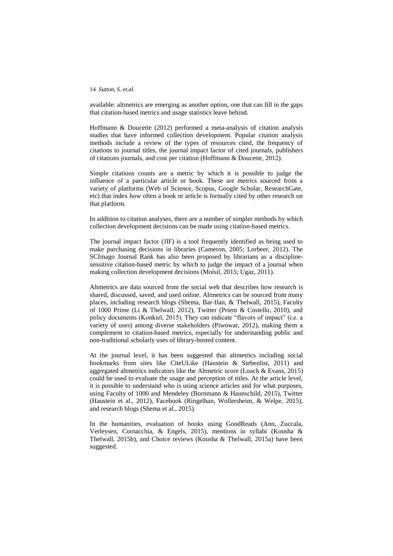available: altmetrics are emerging as another option, one that can fill in the gaps that citation-based metrics and usage statistics leave behind.

Hoffmann & Doucette (2012) performed a meta-analysis of citation analysis studies that have informed collection development. Popular citation analysis methods include a review of the types of resources cited, the frequency of citations to journal titles, the journal impact factor of cited journals, publishers of citations journals, and cost per citation (Hoffmann & Doucette, 2012).

Simple citations counts are a metric by which it is possible to judge the influence of a particular article or book. These are metrics sourced from a variety of platforms (Web of Science, Scopus, Google Scholar, ResearchGate, etc) that index how often a book or article is formally cited by other research on that platform.

In addition to citation analyses, there are a number of simpler methods by which collection development decisions can be made using citation-based metrics.

The journal impact factor (JIF) is a tool frequently identified as being used to make purchasing decisions in libraries (Cameron, 2005; Lorbeer, 2012). The SCImago Journal Rank has also been proposed by librarians as a disciplinesensitive citation-based metric by which to judge the impact of a journal when making collection development decisions (Moisil, 2015; Ugaz, 2011).

Altmetrics are data sourced from the social web that describes how research is shared, discussed, saved, and used online. Altmetrics can be sourced from many places, including research blogs (Shema, Bar-Ilan, & Thelwall, 2015), Faculty of 1000 Prime (Li & Thelwall, 2012), Twitter (Priem & Costello, 2010), and policy documents (Konkiel, 2015). They can indicate "flavors of impact" (i.e. a variety of uses) among diverse stakeholders (Piwowar, 2012), making them a complement to citation-based metrics, especially for understanding public and non-traditional scholarly uses of library-hosted content.

At the journal level, it has been suggested that altmetrics including social bookmarks from sites like CiteULike (Haustein & Siebenlist, 2011) and aggregated altmetrics indicators like the Altmetric score (Loach & Evans, 2015) could be used to evaluate the usage and perception of titles. At the article level, it is possible to understand who is using science articles and for what purposes, using Faculty of 1000 and Mendeley (Bornmann & Haunschild, 2015), Twitter (Haustein et al., 2012), Facebook (Ringelhan, Wollersheim, & Welpe, 2015), and research blogs (Shema et al., 2015).

In the humanities, evaluation of books using GoodReads (Ann, Zuccala, Verleysen, Cornacchia, & Engels, 2015), mentions in syllabi (Kousha & Thelwall, 2015b), and Choice reviews (Kousha & Thelwall, 2015a) have been suggested.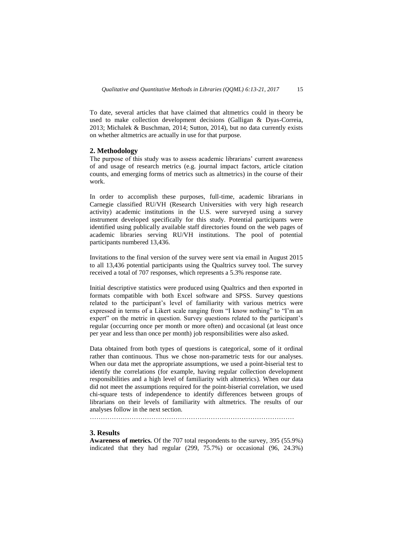To date, several articles that have claimed that altmetrics could in theory be used to make collection development decisions (Galligan & Dyas-Correia, 2013; Michalek & Buschman, 2014; Sutton, 2014), but no data currently exists on whether altmetrics are actually in use for that purpose.

## **2. Methodology**

The purpose of this study was to assess academic librarians' current awareness of and usage of research metrics (e.g. journal impact factors, article citation counts, and emerging forms of metrics such as altmetrics) in the course of their work.

In order to accomplish these purposes, full-time, academic librarians in Carnegie classified RU/VH (Research Universities with very high research activity) academic institutions in the U.S. were surveyed using a survey instrument developed specifically for this study. Potential participants were identified using publically available staff directories found on the web pages of academic libraries serving RU/VH institutions. The pool of potential participants numbered 13,436.

Invitations to the final version of the survey were sent via email in August 2015 to all 13,436 potential participants using the Qualtrics survey tool. The survey received a total of 707 responses, which represents a 5.3% response rate.

Initial descriptive statistics were produced using Qualtrics and then exported in formats compatible with both Excel software and SPSS. Survey questions related to the participant's level of familiarity with various metrics were expressed in terms of a Likert scale ranging from "I know nothing" to "I'm an expert" on the metric in question. Survey questions related to the participant's regular (occurring once per month or more often) and occasional (at least once per year and less than once per month) job responsibilities were also asked.

Data obtained from both types of questions is categorical, some of it ordinal rather than continuous. Thus we chose non-parametric tests for our analyses. When our data met the appropriate assumptions, we used a point-biserial test to identify the correlations (for example, having regular collection development responsibilities and a high level of familiarity with altmetrics). When our data did not meet the assumptions required for the point-biserial correlation, we used chi-square tests of independence to identify differences between groups of librarians on their levels of familiarity with altmetrics. The results of our analyses follow in the next section.

…………………………………………………………………………………

## **3. Results**

**Awareness of metrics.** Of the 707 total respondents to the survey, 395 (55.9%) indicated that they had regular (299, 75.7%) or occasional (96, 24.3%)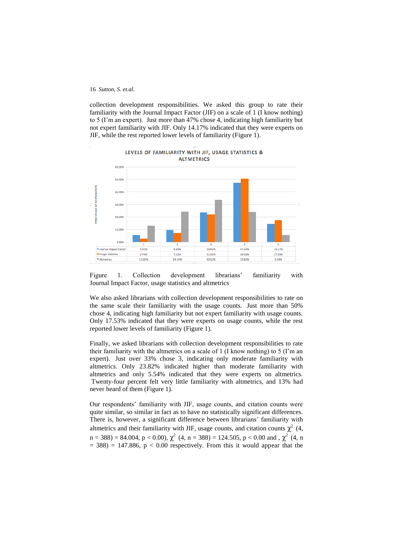collection development responsibilities. We asked this group to rate their familiarity with the Journal Impact Factor (JIF) on a scale of 1 (I know nothing) to 5 (I'm an expert). Just more than 47% chose 4, indicating high familiarity but not expert familiarity with JIF. Only 14.17% indicated that they were experts on JIF, while the rest reported lower levels of familiarity (Figure 1).



LEVELS OF FAMILIARITY WITH JIF, USAGE STATISTICS &

Figure 1. Collection development librarians' familiarity with Journal Impact Factor, usage statistics and altmetrics

We also asked librarians with collection development responsibilities to rate on the same scale their familiarity with the usage counts. Just more than 50% chose 4, indicating high familiarity but not expert familiarity with usage counts. Only 17.53% indicated that they were experts on usage counts, while the rest reported lower levels of familiarity (Figure 1).

Finally, we asked librarians with collection development responsibilities to rate their familiarity with the altmetrics on a scale of 1 (I know nothing) to 5 (I'm an expert). Just over 33% chose 3, indicating only moderate familiarity with altmetrics. Only 23.82% indicated higher than moderate familiarity with altmetrics and only 5.54% indicated that they were experts on altmetrics. Twenty-four percent felt very little familiarity with altmetrics, and 13% had never heard of them (Figure 1).

Our respondents' familiarity with JIF, usage counts, and citation counts were quite similar, so similar in fact as to have no statistically significant differences. There is, however, a significant difference between librarians' familiarity with altmetrics and their familiarity with JIF, usage counts, and citation counts  $\chi^2$  (4,  $n = 388$ ) = 84.004, p < 0.00),  $\chi^2$  (4, n = 388) = 124.505, p < 0.00 and ,  $\chi^2$  (4, n  $= 388$ ) = 147.886, p < 0.00 respectively. From this it would appear that the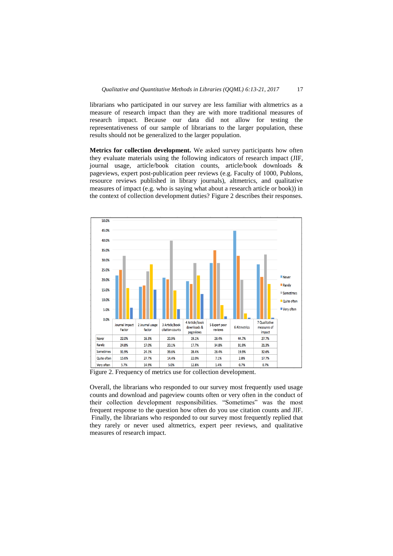librarians who participated in our survey are less familiar with altmetrics as a measure of research impact than they are with more traditional measures of research impact. Because our data did not allow for testing the representativeness of our sample of librarians to the larger population, these results should not be generalized to the larger population.

**Metrics for collection development.** We asked survey participants how often they evaluate materials using the following indicators of research impact (JIF, journal usage, article/book citation counts, article/book downloads & pageviews, expert post-publication peer reviews (e.g. Faculty of 1000, Publons, resource reviews published in library journals), altmetrics, and qualitative measures of impact (e.g. who is saying what about a research article or book)) in the context of collection development duties? Figure 2 describes their responses.



Figure 2. Frequency of metrics use for collection development.

Overall, the librarians who responded to our survey most frequently used usage counts and download and pageview counts often or very often in the conduct of their collection development responsibilities. "Sometimes" was the most frequent response to the question how often do you use citation counts and JIF. Finally, the librarians who responded to our survey most frequently replied that they rarely or never used altmetrics, expert peer reviews, and qualitative measures of research impact.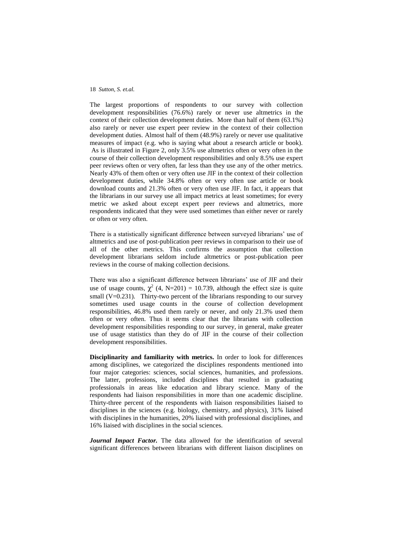The largest proportions of respondents to our survey with collection development responsibilities (76.6%) rarely or never use altmetrics in the context of their collection development duties. More than half of them (63.1%) also rarely or never use expert peer review in the context of their collection development duties. Almost half of them (48.9%) rarely or never use qualitative measures of impact (e.g. who is saying what about a research article or book). As is illustrated in Figure 2, only 3.5% use altmetrics often or very often in the course of their collection development responsibilities and only 8.5% use expert peer reviews often or very often, far less than they use any of the other metrics. Nearly 43% of them often or very often use JIF in the context of their collection development duties, while 34.8% often or very often use article or book download counts and 21.3% often or very often use JIF. In fact, it appears that the librarians in our survey use all impact metrics at least sometimes; for every metric we asked about except expert peer reviews and altmetrics, more respondents indicated that they were used sometimes than either never or rarely or often or very often.

There is a statistically significant difference between surveyed librarians' use of altmetrics and use of post-publication peer reviews in comparison to their use of all of the other metrics. This confirms the assumption that collection development librarians seldom include altmetrics or post-publication peer reviews in the course of making collection decisions.

There was also a significant difference between librarians' use of JIF and their use of usage counts,  $\chi^2$  (4, N=201) = 10.739, although the effect size is quite small (V=0.231). Thirty-two percent of the librarians responding to our survey sometimes used usage counts in the course of collection development responsibilities, 46.8% used them rarely or never, and only 21.3% used them often or very often. Thus it seems clear that the librarians with collection development responsibilities responding to our survey, in general, make greater use of usage statistics than they do of JIF in the course of their collection development responsibilities.

**Disciplinarity and familiarity with metrics.** In order to look for differences among disciplines, we categorized the disciplines respondents mentioned into four major categories: sciences, social sciences, humanities, and professions. The latter, professions, included disciplines that resulted in graduating professionals in areas like education and library science. Many of the respondents had liaison responsibilities in more than one academic discipline. Thirty-three percent of the respondents with liaison responsibilities liaised to disciplines in the sciences (e.g. biology, chemistry, and physics), 31% liaised with disciplines in the humanities, 20% liaised with professional disciplines, and 16% liaised with disciplines in the social sciences.

*Journal Impact Factor.* The data allowed for the identification of several significant differences between librarians with different liaison disciplines on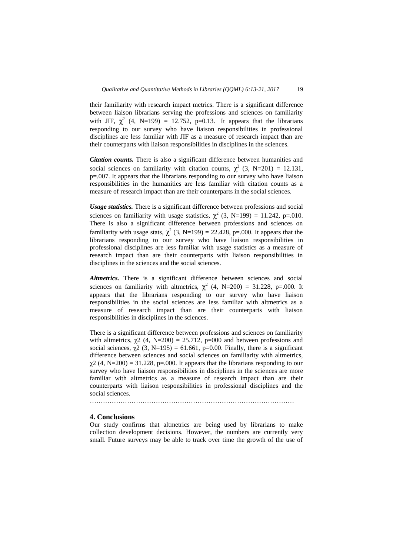their familiarity with research impact metrics. There is a significant difference between liaison librarians serving the professions and sciences on familiarity with JIF,  $\chi^2$  (4, N=199) = 12.752, p=0.13. It appears that the librarians responding to our survey who have liaison responsibilities in professional disciplines are less familiar with JIF as a measure of research impact than are their counterparts with liaison responsibilities in disciplines in the sciences.

*Citation counts.* There is also a significant difference between humanities and social sciences on familiarity with citation counts,  $\chi^2$  (3, N=201) = 12.131, p=.007. It appears that the librarians responding to our survey who have liaison responsibilities in the humanities are less familiar with citation counts as a measure of research impact than are their counterparts in the social sciences.

*Usage statistics.* There is a significant difference between professions and social sciences on familiarity with usage statistics,  $\chi^2$  (3, N=199) = 11.242, p=.010. There is also a significant difference between professions and sciences on familiarity with usage stats,  $\chi^2$  (3, N=199) = 22.428, p=.000. It appears that the librarians responding to our survey who have liaison responsibilities in professional disciplines are less familiar with usage statistics as a measure of research impact than are their counterparts with liaison responsibilities in disciplines in the sciences and the social sciences.

*Altmetrics.* There is a significant difference between sciences and social sciences on familiarity with altmetrics,  $\chi^2$  (4, N=200) = 31.228, p=.000. It appears that the librarians responding to our survey who have liaison responsibilities in the social sciences are less familiar with altmetrics as a measure of research impact than are their counterparts with liaison responsibilities in disciplines in the sciences.

There is a significant difference between professions and sciences on familiarity with altmetrics,  $\chi$ 2 (4, N=200) = 25.712, p=000 and between professions and social sciences,  $\chi^2$  (3, N=195) = 61.661, p=0.00. Finally, there is a significant difference between sciences and social sciences on familiarity with altmetrics,  $\gamma$ 2 (4, N=200) = 31.228, p=.000. It appears that the librarians responding to our survey who have liaison responsibilities in disciplines in the sciences are more familiar with altmetrics as a measure of research impact than are their counterparts with liaison responsibilities in professional disciplines and the social sciences.

…………………………………………………………………………………

#### **4. Conclusions**

Our study confirms that altmetrics are being used by librarians to make collection development decisions. However, the numbers are currently very small. Future surveys may be able to track over time the growth of the use of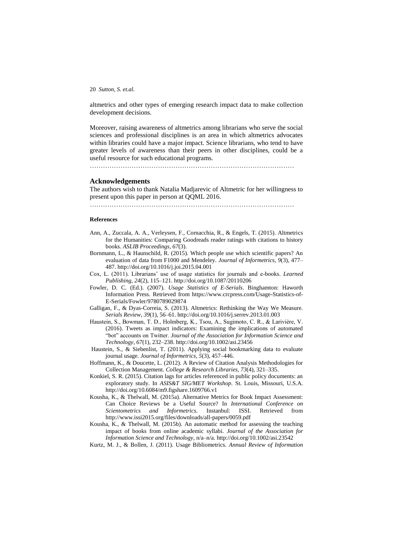altmetrics and other types of emerging research impact data to make collection development decisions.

Moreover, raising awareness of altmetrics among librarians who serve the social sciences and professional disciplines is an area in which altmetrics advocates within libraries could have a major impact. Science librarians, who tend to have greater levels of awareness than their peers in other disciplines, could be a useful resource for such educational programs.

…………………………………………………………………………………

#### **Acknowledgements**

The authors wish to thank Natalia Madjarevic of Altmetric for her willingness to present upon this paper in person at QQML 2016.

…………………………………………………………………………………

# **References**

- Ann, A., Zuccala, A. A., Verleysen, F., Cornacchia, R., & Engels, T. (2015). Altmetrics for the Humanities: Comparing Goodreads reader ratings with citations to history books. *ASLIB Proceedings*, *67*(3).
- Bornmann, L., & Haunschild, R. (2015). Which people use which scientific papers? An evaluation of data from F1000 and Mendeley. *Journal of Informetrics*, *9*(3), 477– 487. http://doi.org/10.1016/j.joi.2015.04.001
- Cox, L. (2011). Librarians' use of usage statistics for journals and e-books. *Learned Publishing*, *24*(2), 115–121. http://doi.org/10.1087/20110206
- Fowler, D. C. (Ed.). (2007). *Usage Statistics of E-Serials*. Binghamton: Haworth Information Press. Retrieved from https://www.crcpress.com/Usage-Statistics-of-E-Serials/Fowler/9780789029874
- Galligan, F., & Dyas-Correia, S. (2013). Altmetrics: Rethinking the Way We Measure. *Serials Review*, *39*(1), 56–61. http://doi.org/10.1016/j.serrev.2013.01.003
- Haustein, S., Bowman, T. D., Holmberg, K., Tsou, A., Sugimoto, C. R., & Larivière, V. (2016). Tweets as impact indicators: Examining the implications of automated "bot" accounts on Twitter. *Journal of the Association for Information Science and Technology*, *67*(1), 232–238. http://doi.org/10.1002/asi.23456
- Haustein, S., & Siebenlist, T. (2011). Applying social bookmarking data to evaluate journal usage. *Journal of Informetrics*, *5*(3), 457–446.
- Hoffmann, K., & Doucette, L. (2012). A Review of Citation Analysis Methodologies for Collection Management. *College & Research Libraries*, *73*(4), 321–335.
- Konkiel, S. R. (2015). Citation lags for articles referenced in public policy documents: an exploratory study. In *ASIS&T SIG/MET Workshop*. St. Louis, Missouri, U.S.A. http://doi.org/10.6084/m9.figshare.1609766.v1
- Kousha, K., & Thelwall, M. (2015a). Alternative Metrics for Book Impact Assessment: Can Choice Reviews be a Useful Source? In *International Conference on Scientometrics and Informetrics*. Instanbul: ISSI. Retrieved from http://www.issi2015.org/files/downloads/all-papers/0059.pdf
- Kousha, K., & Thelwall, M. (2015b). An automatic method for assessing the teaching impact of books from online academic syllabi. *Journal of the Association for Information Science and Technology*, n/a–n/a. http://doi.org/10.1002/asi.23542
- Kurtz, M. J., & Bollen, J. (2011). Usage Bibliometrics. *Annual Review of Information*